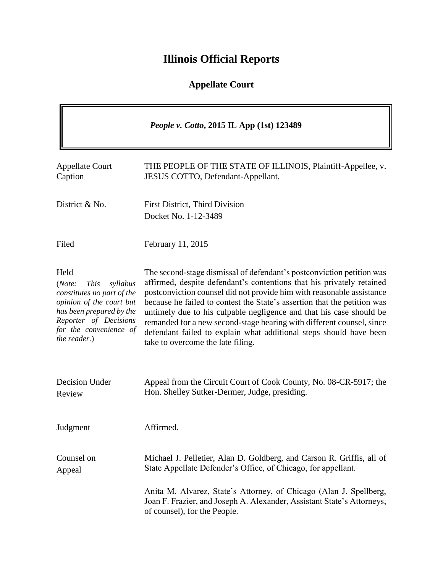## **Illinois Official Reports**

## **Appellate Court**

| People v. Cotto, 2015 IL App (1st) 123489                                                                                                                                                          |                                                                                                                                                                                                                                                                                                                                                                                                                                                                                                                                                                |
|----------------------------------------------------------------------------------------------------------------------------------------------------------------------------------------------------|----------------------------------------------------------------------------------------------------------------------------------------------------------------------------------------------------------------------------------------------------------------------------------------------------------------------------------------------------------------------------------------------------------------------------------------------------------------------------------------------------------------------------------------------------------------|
| <b>Appellate Court</b><br>Caption                                                                                                                                                                  | THE PEOPLE OF THE STATE OF ILLINOIS, Plaintiff-Appellee, v.<br>JESUS COTTO, Defendant-Appellant.                                                                                                                                                                                                                                                                                                                                                                                                                                                               |
| District & No.                                                                                                                                                                                     | First District, Third Division<br>Docket No. 1-12-3489                                                                                                                                                                                                                                                                                                                                                                                                                                                                                                         |
| Filed                                                                                                                                                                                              | February 11, 2015                                                                                                                                                                                                                                                                                                                                                                                                                                                                                                                                              |
| Held<br>(Note:<br><b>This</b><br>syllabus<br>constitutes no part of the<br>opinion of the court but<br>has been prepared by the<br>Reporter of Decisions<br>for the convenience of<br>the reader.) | The second-stage dismissal of defendant's postconviction petition was<br>affirmed, despite defendant's contentions that his privately retained<br>postconviction counsel did not provide him with reasonable assistance<br>because he failed to contest the State's assertion that the petition was<br>untimely due to his culpable negligence and that his case should be<br>remanded for a new second-stage hearing with different counsel, since<br>defendant failed to explain what additional steps should have been<br>take to overcome the late filing. |
| Decision Under<br>Review                                                                                                                                                                           | Appeal from the Circuit Court of Cook County, No. 08-CR-5917; the<br>Hon. Shelley Sutker-Dermer, Judge, presiding.                                                                                                                                                                                                                                                                                                                                                                                                                                             |
| Judgment                                                                                                                                                                                           | Affirmed.                                                                                                                                                                                                                                                                                                                                                                                                                                                                                                                                                      |
| Counsel on<br>Appeal                                                                                                                                                                               | Michael J. Pelletier, Alan D. Goldberg, and Carson R. Griffis, all of<br>State Appellate Defender's Office, of Chicago, for appellant.                                                                                                                                                                                                                                                                                                                                                                                                                         |
|                                                                                                                                                                                                    | Anita M. Alvarez, State's Attorney, of Chicago (Alan J. Spellberg,<br>Joan F. Frazier, and Joseph A. Alexander, Assistant State's Attorneys,<br>of counsel), for the People.                                                                                                                                                                                                                                                                                                                                                                                   |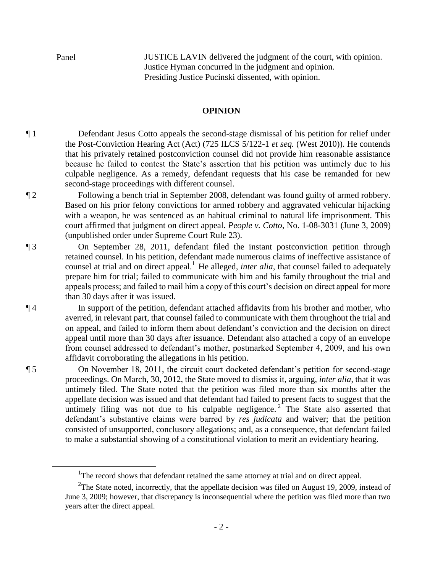$\overline{a}$ 

Panel **IUSTICE LAVIN** delivered the judgment of the court, with opinion. Justice Hyman concurred in the judgment and opinion. Presiding Justice Pucinski dissented, with opinion.

## **OPINION**

¶ 1 Defendant Jesus Cotto appeals the second-stage dismissal of his petition for relief under the Post-Conviction Hearing Act (Act) (725 ILCS 5/122-1 *et seq.* (West 2010)). He contends that his privately retained postconviction counsel did not provide him reasonable assistance because he failed to contest the State's assertion that his petition was untimely due to his culpable negligence. As a remedy, defendant requests that his case be remanded for new second-stage proceedings with different counsel.

¶ 2 Following a bench trial in September 2008, defendant was found guilty of armed robbery. Based on his prior felony convictions for armed robbery and aggravated vehicular hijacking with a weapon, he was sentenced as an habitual criminal to natural life imprisonment. This court affirmed that judgment on direct appeal. *People v. Cotto*, No. 1-08-3031 (June 3, 2009) (unpublished order under Supreme Court Rule 23).

¶ 3 On September 28, 2011, defendant filed the instant postconviction petition through retained counsel. In his petition, defendant made numerous claims of ineffective assistance of counsel at trial and on direct appeal.<sup>1</sup> He alleged, *inter alia*, that counsel failed to adequately prepare him for trial; failed to communicate with him and his family throughout the trial and appeals process; and failed to mail him a copy of this court's decision on direct appeal for more than 30 days after it was issued.

¶ 4 In support of the petition, defendant attached affidavits from his brother and mother, who averred, in relevant part, that counsel failed to communicate with them throughout the trial and on appeal, and failed to inform them about defendant's conviction and the decision on direct appeal until more than 30 days after issuance. Defendant also attached a copy of an envelope from counsel addressed to defendant's mother, postmarked September 4, 2009, and his own affidavit corroborating the allegations in his petition.

¶ 5 On November 18, 2011, the circuit court docketed defendant's petition for second-stage proceedings. On March, 30, 2012, the State moved to dismiss it, arguing, *inter alia*, that it was untimely filed. The State noted that the petition was filed more than six months after the appellate decision was issued and that defendant had failed to present facts to suggest that the untimely filing was not due to his culpable negligence.<sup>2</sup> The State also asserted that defendant's substantive claims were barred by *res judicata* and waiver; that the petition consisted of unsupported, conclusory allegations; and, as a consequence, that defendant failed to make a substantial showing of a constitutional violation to merit an evidentiary hearing.

<sup>&</sup>lt;sup>1</sup>The record shows that defendant retained the same attorney at trial and on direct appeal.

<sup>&</sup>lt;sup>2</sup>The State noted, incorrectly, that the appellate decision was filed on August 19, 2009, instead of June 3, 2009; however, that discrepancy is inconsequential where the petition was filed more than two years after the direct appeal.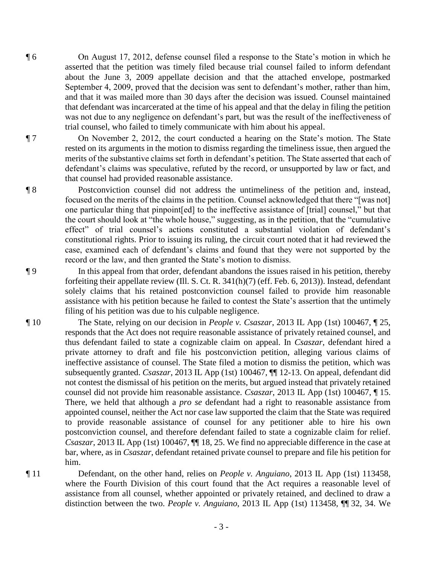¶ 6 On August 17, 2012, defense counsel filed a response to the State's motion in which he asserted that the petition was timely filed because trial counsel failed to inform defendant about the June 3, 2009 appellate decision and that the attached envelope, postmarked September 4, 2009, proved that the decision was sent to defendant's mother, rather than him, and that it was mailed more than 30 days after the decision was issued. Counsel maintained that defendant was incarcerated at the time of his appeal and that the delay in filing the petition was not due to any negligence on defendant's part, but was the result of the ineffectiveness of trial counsel, who failed to timely communicate with him about his appeal.

¶ 7 On November 2, 2012, the court conducted a hearing on the State's motion. The State rested on its arguments in the motion to dismiss regarding the timeliness issue, then argued the merits of the substantive claims set forth in defendant's petition. The State asserted that each of defendant's claims was speculative, refuted by the record, or unsupported by law or fact, and that counsel had provided reasonable assistance.

¶ 8 Postconviction counsel did not address the untimeliness of the petition and, instead, focused on the merits of the claims in the petition. Counsel acknowledged that there "[was not] one particular thing that pinpoint[ed] to the ineffective assistance of [trial] counsel," but that the court should look at "the whole house," suggesting, as in the petition, that the "cumulative effect" of trial counsel's actions constituted a substantial violation of defendant's constitutional rights. Prior to issuing its ruling, the circuit court noted that it had reviewed the case, examined each of defendant's claims and found that they were not supported by the record or the law, and then granted the State's motion to dismiss.

¶ 9 In this appeal from that order, defendant abandons the issues raised in his petition, thereby forfeiting their appellate review (Ill. S. Ct. R. 341(h)(7) (eff. Feb. 6, 2013)). Instead, defendant solely claims that his retained postconviction counsel failed to provide him reasonable assistance with his petition because he failed to contest the State's assertion that the untimely filing of his petition was due to his culpable negligence.

- ¶ 10 The State, relying on our decision in *People v. Csaszar*, 2013 IL App (1st) 100467, ¶ 25, responds that the Act does not require reasonable assistance of privately retained counsel, and thus defendant failed to state a cognizable claim on appeal. In *Csaszar*, defendant hired a private attorney to draft and file his postconviction petition, alleging various claims of ineffective assistance of counsel. The State filed a motion to dismiss the petition, which was subsequently granted. *Csaszar*, 2013 IL App (1st) 100467, ¶¶ 12-13. On appeal, defendant did not contest the dismissal of his petition on the merits, but argued instead that privately retained counsel did not provide him reasonable assistance. *Csaszar*, 2013 IL App (1st) 100467, ¶ 15. There, we held that although a *pro se* defendant had a right to reasonable assistance from appointed counsel, neither the Act nor case law supported the claim that the State was required to provide reasonable assistance of counsel for any petitioner able to hire his own postconviction counsel, and therefore defendant failed to state a cognizable claim for relief. *Csaszar*, 2013 IL App (1st) 100467, ¶¶ 18, 25. We find no appreciable difference in the case at bar, where, as in *Csaszar*, defendant retained private counsel to prepare and file his petition for him.
- ¶ 11 Defendant, on the other hand, relies on *People v. Anguiano*, 2013 IL App (1st) 113458, where the Fourth Division of this court found that the Act requires a reasonable level of assistance from all counsel, whether appointed or privately retained, and declined to draw a distinction between the two. *People v. Anguiano*, 2013 IL App (1st) 113458, ¶¶ 32, 34. We

- 3 -